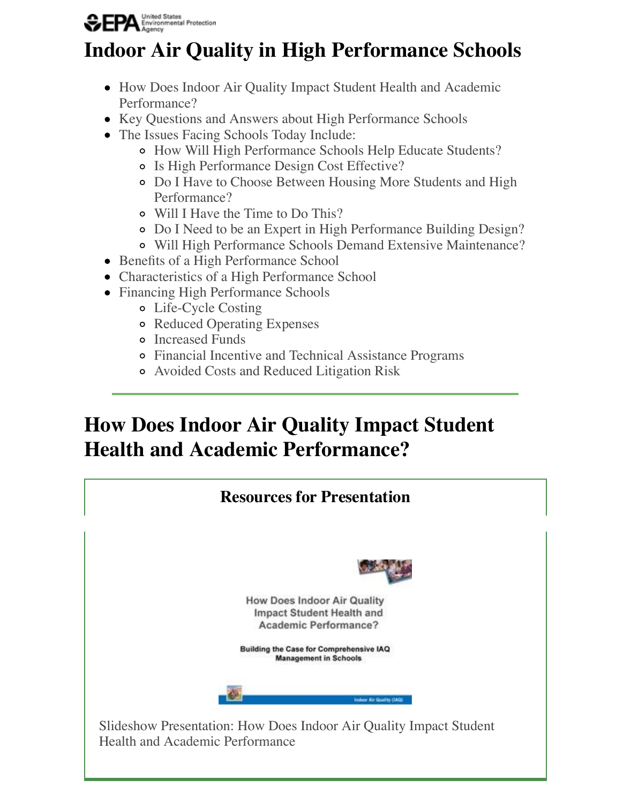- Key Questions and Answers about High Performance Schools
- The Issues Facing Schools Today Include:
	- How Will High Performance Schools Help Educate Students?
	- Is High Performance Design Cost Effective?
	- Do I Have to Choose Between Housing More Students and High Performance?
	- [Will I Have the Time to Do This?](https://www.epa.gov/iaq-schools/indoor-air-quality-high-performance-schools#how)
	- [Do I Need to be an Expert in High Performance Buildin](https://www.epa.gov/iaq-schools/indoor-air-quality-high-performance-schools#key)g Design?
	- [Will High Performance Schools Dem](https://www.epa.gov/iaq-schools/indoor-air-quality-high-performance-schools#issues-today)and Extensive Maintenance?
- Bene[fits of a High Performance School](https://www.epa.gov/iaq-schools/indoor-air-quality-high-performance-schools#q1)
- Chara[cteristics of a High Performance School](https://www.epa.gov/iaq-schools/indoor-air-quality-high-performance-schools#q2)
- Finan[cing High Performance Schools](https://www.epa.gov/iaq-schools/indoor-air-quality-high-performance-schools#q3)
	- Life-Cycle Costing
	- [Reduced Operating Expenses](https://www.epa.gov/iaq-schools/indoor-air-quality-high-performance-schools#q4)
	- [Increased Funds](https://www.epa.gov/iaq-schools/indoor-air-quality-high-performance-schools#q5)
	- [Financial Incentive and Technical Assistance Programs](https://www.epa.gov/iaq-schools/indoor-air-quality-high-performance-schools#q6)
	- [Avoided Costs and Reduced Litig](https://www.epa.gov/iaq-schools/indoor-air-quality-high-performance-schools#benefits-of)[ation R](https://www.epa.gov/iaq-schools/indoor-air-quality-high-performance-schools#characteristics-of)isk

## **How D[oes Indoor Air Qua](https://www.epa.gov/iaq-schools/indoor-air-quality-high-performance-schools#reduced-operating)lity Impact Student Health [and Acade](https://www.epa.gov/iaq-schools/indoor-air-quality-high-performance-schools#increased-funds)[mic Performance?](https://www.epa.gov/iaq-schools/indoor-air-quality-high-performance-schools#financial-incentive)**

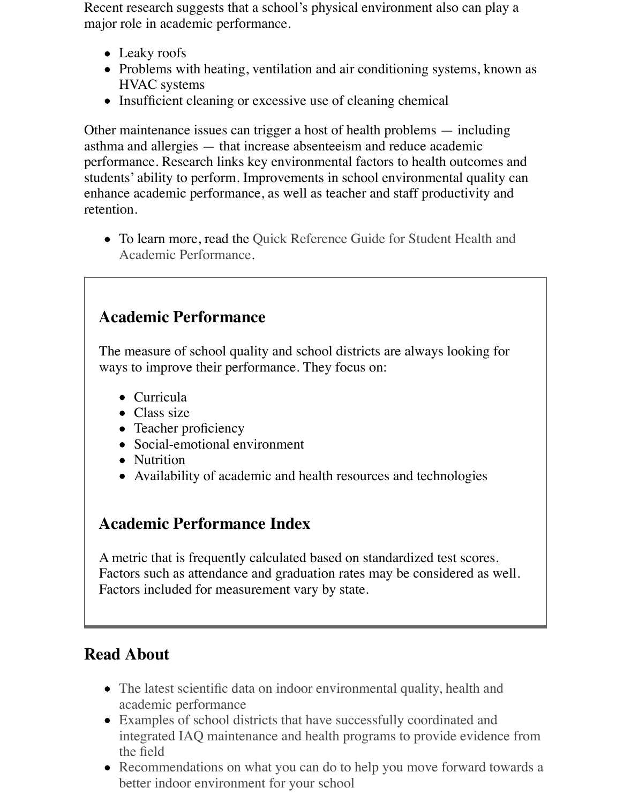Other maintenance issues can trigger a host of health problems — including asthma and allergies — that increase absenteeism and reduce academic performance. Research links key environmental factors to health outcomes and students' ability to perform. Improvements in school environmental quality can enhance academic performance, as well as teacher and staff productivity and retention.

To learn more, read the Quick Reference Guide for Student Health and Academic Performance.

#### **Academic Performance**

Th[e measure of school quality and school districts are always looking for](https://www.epa.gov/indoor-air-quality-iaq/quick-reference-guide-about-student-health-and-academic-performance) ways to improve their performance. They focus on:

- Curricula
- Class size
- Teacher proficiency
- Social-emotional environment
- Nutrition
- Availability of academic and health resources and technologies

#### **Academic Performance Index**

A metric that is frequently calculated based on standardized test scores. Factors such as attendance and graduation rates may be considered as well. Factors included for measurement vary by state.

#### **Read About**

- The latest scientific data on indoor environmental quality, health and academic performance
- Examples of school districts that have successfully coordinated and integrated IAQ maintenance and health programs to provide evidence from the field
- Recommendations on what you can do to help you move forward towards [better indoor environment for your school](https://www.epa.gov/iaq-schools/evidence-scientific-literature-about-improved-academic-performance)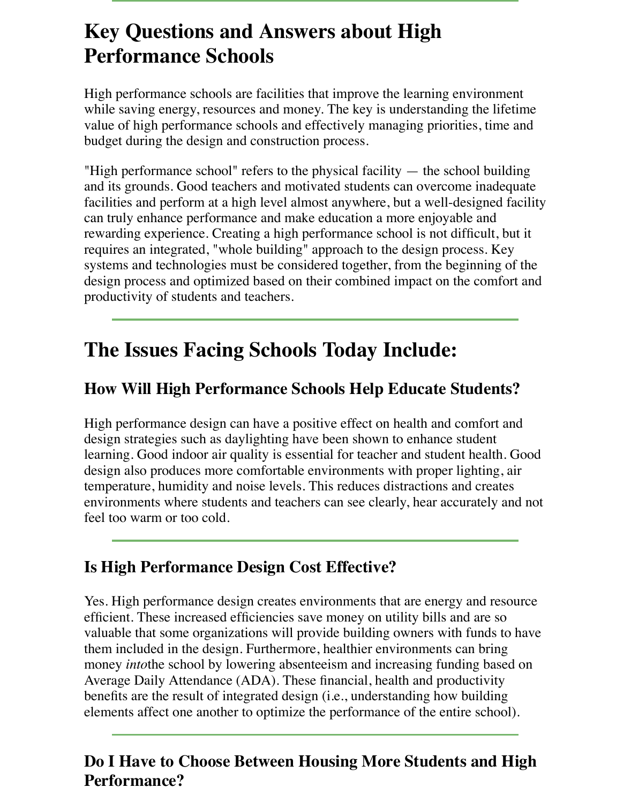# **Key Questions and Answers about High Performance Schools**

High performance schools are facilities that improve the learning environment while saving energy, resources and money. The key is understanding the lifetime value of high performance schools and effectively managing priorities, time and budget during the design and construction process.

"High performance school" refers to the physical facility — the school building and its grounds. Good teachers and motivated students can overcome inadequate facilities and perform at a high level almost anywhere, but a well-designed facility can truly enhance performance and make education a more enjoyable and rewarding experience. Creating a high performance school is not difficult, but it requires an integrated, "whole building" approach to the design process. Key systems and technologies must be considered together, from the beginning of the design process and optimized based on their combined impact on the comfort and productivity of students and teachers.

# **The Issues Facing Schools Today Include:**

#### **How Will High Performance Schools Help Educate Students?**

High performance design can have a positive effect on health and comfort and design strategies such as daylighting have been shown to enhance student learning. Good indoor air quality is essential for teacher and student health. Good design also produces more comfortable environments with proper lighting, air temperature, humidity and noise levels. This reduces distractions and creates environments where students and teachers can see clearly, hear accurately and not feel too warm or too cold.

### **Is High Performance Design Cost Effective?**

Yes. High performance design creates environments that are energy and resource efficient. These increased efficiencies save money on utility bills and are so valuable that some organizations will provide building owners with funds to have them included in the design. Furthermore, healthier environments can bring money *into*the school by lowering absenteeism and increasing funding based on Average Daily Attendance (ADA). These financial, health and productivity benefits are the result of integrated design (i.e., understanding how building elements affect one another to optimize the performance of the entire school).

#### **Do I Have to Choose Between Housing More Students and High Performance?**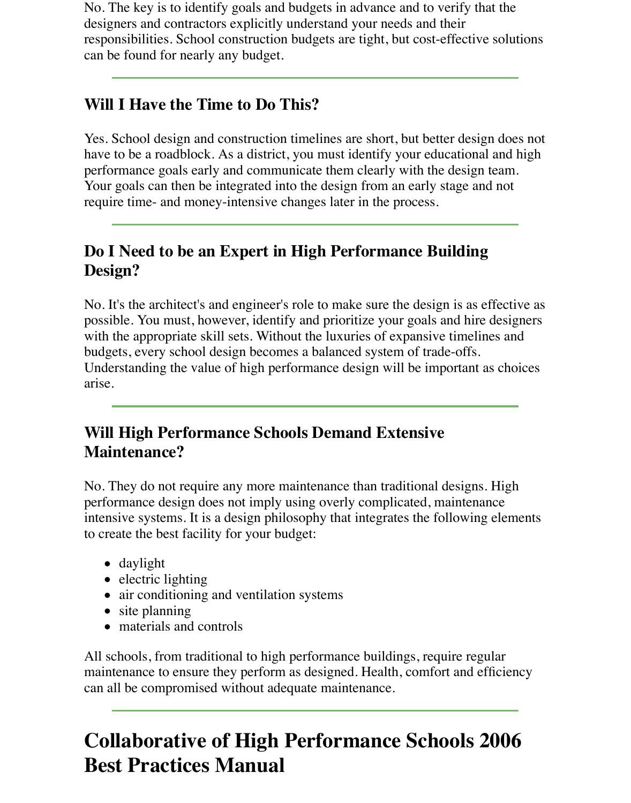No. The key is to identify goals and budgets in advance and to verify that the designers and contractors explicitly understand your needs and their responsibilities. School construction budgets are tight, but cost-effective solutions can be found for nearly any budget.

### **Will I Have the Time to Do This?**

Yes. School design and construction timelines are short, but better design does not have to be a roadblock. As a district, you must identify your educational and high performance goals early and communicate them clearly with the design team. Your goals can then be integrated into the design from an early stage and not require time- and money-intensive changes later in the process.

#### **Do I Need to be an Expert in High Performance Building Design?**

No. It's the architect's and engineer's role to make sure the design is as effective as possible. You must, however, identify and prioritize your goals and hire designers with the appropriate skill sets. Without the luxuries of expansive timelines and budgets, every school design becomes a balanced system of trade-offs. Understanding the value of high performance design will be important as choices arise.

#### **Will High Performance Schools Demand Extensive Maintenance?**

No. They do not require any more maintenance than traditional designs. High performance design does not imply using overly complicated, maintenance intensive systems. It is a design philosophy that integrates the following elements to create the best facility for your budget:

- daylight
- $\bullet$  electric lighting
- air conditioning and ventilation systems
- site planning
- materials and controls

All schools, from traditional to high performance buildings, require regular maintenance to ensure they perform as designed. Health, comfort and efficiency can all be compromised without adequate maintenance.

### **Collaborative of High Performance Schools 2006 Best Practices Manual**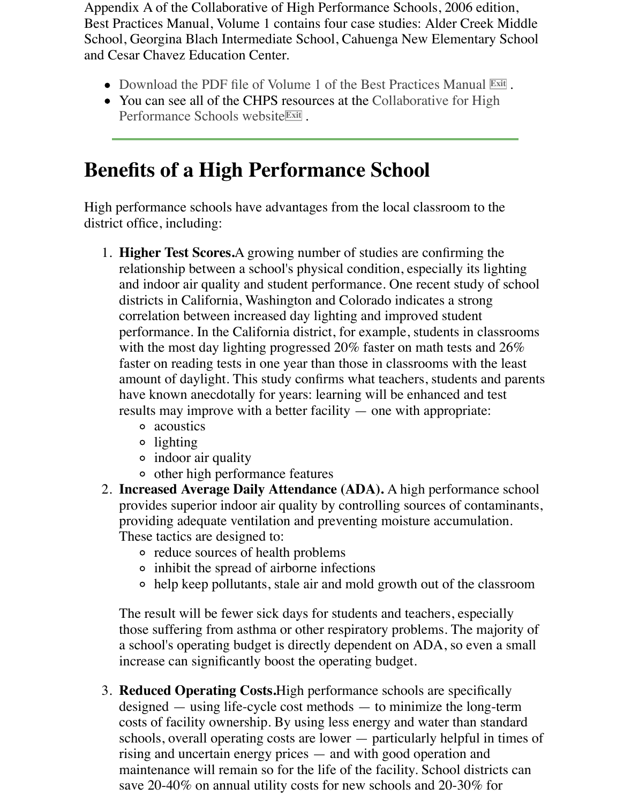# **Benefits of a High Performance School**

High [performance schools have advantages from the local classroom to the](http://www.chps.net/dev/Drupal/node) district office, including:

- 1. **Higher Test Scores.**A growing number of studies are confirming the relationship between a school's physical condition, especially its lighting and indoor air quality and student performance. One recent study of school districts in California, Washington and Colorado indicates a strong correlation between increased day lighting and improved student performance. In the California district, for example, students in classrooms with the most day lighting progressed 20% faster on math tests and 26% faster on reading tests in one year than those in classrooms with the least amount of daylight. This study confirms what teachers, students and parent have known anecdotally for years: learning will be enhanced and test results may improve with a better facility — one with appropriate:
	- acoustics
	- lighting
	- indoor air quality
	- other high performance features
- 2. **Increased Average Daily Attendance (ADA).** A high performance school provides superior indoor air quality by controlling sources of contaminants, providing adequate ventilation and preventing moisture accumulation. These tactics are designed to:
	- reduce sources of health problems
	- inhibit the spread of airborne infections
	- help keep pollutants, stale air and mold growth out of the classroom

The result will be fewer sick days for students and teachers, especially those suffering from asthma or other respiratory problems. The majority of a school's operating budget is directly dependent on ADA, so even a small increase can significantly boost the operating budget.

3. **Reduced Operating Costs.**High performance schools are specifically designed — using life-cycle cost methods — to minimize the long-term costs of facility ownership. By using less energy and water than standard schools, overall operating costs are lower  $-$  particularly helpful in times of rising and uncertain energy prices — and with good operation and maintenance will remain so for the life of the facility. School districts can save 20-40% on annual utility costs for new schools and 20-30% for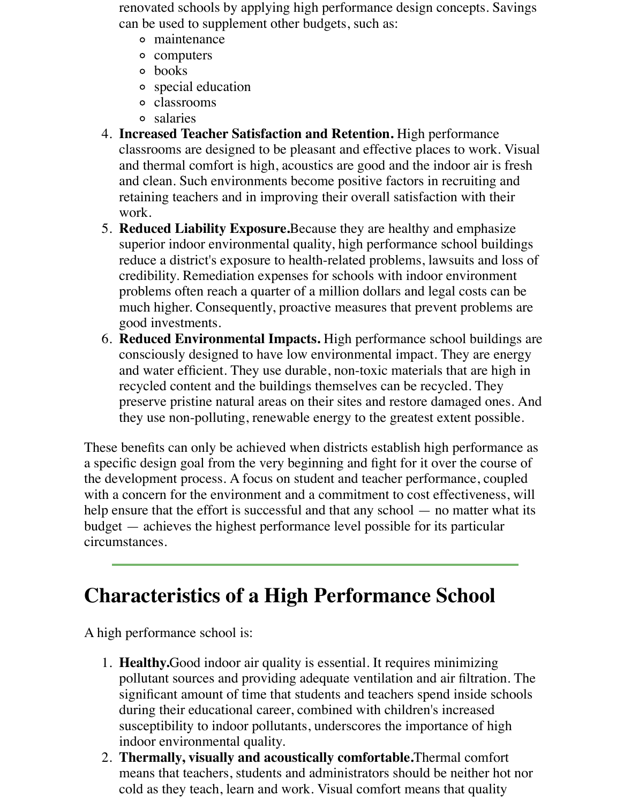renovated schools by applying high performance design concepts. Savings can be used to supplement other budgets, such as:

- maintenance
- computers
- books
- special education
- classrooms
- salaries
- 4. **Increased Teacher Satisfaction and Retention.** High performance classrooms are designed to be pleasant and effective places to work. Visual and thermal comfort is high, acoustics are good and the indoor air is fresh and clean. Such environments become positive factors in recruiting and retaining teachers and in improving their overall satisfaction with their work.
- 5. **Reduced Liability Exposure.**Because they are healthy and emphasize superior indoor environmental quality, high performance school buildings reduce a district's exposure to health-related problems, lawsuits and loss of credibility. Remediation expenses for schools with indoor environment problems often reach a quarter of a million dollars and legal costs can be much higher. Consequently, proactive measures that prevent problems are good investments.
- 6. **Reduced Environmental Impacts.** High performance school buildings are consciously designed to have low environmental impact. They are energy and water efficient. They use durable, non-toxic materials that are high in recycled content and the buildings themselves can be recycled. They preserve pristine natural areas on their sites and restore damaged ones. And they use non-polluting, renewable energy to the greatest extent possible.

These benefits can only be achieved when districts establish high performance as a specific design goal from the very beginning and fight for it over the course of the development process. A focus on student and teacher performance, coupled with a concern for the environment and a commitment to cost effectiveness, will help ensure that the effort is successful and that any school — no matter what its budget — achieves the highest performance level possible for its particular circumstances.

# **Characteristics of a High Performance School**

A high performance school is:

- 1. **Healthy.**Good indoor air quality is essential. It requires minimizing pollutant sources and providing adequate ventilation and air filtration. The significant amount of time that students and teachers spend inside schools during their educational career, combined with children's increased susceptibility to indoor pollutants, underscores the importance of high indoor environmental quality.
- 2. **Thermally, visually and acoustically comfortable.**Thermal comfort means that teachers, students and administrators should be neither hot nor cold as they teach, learn and work. Visual comfort means that quality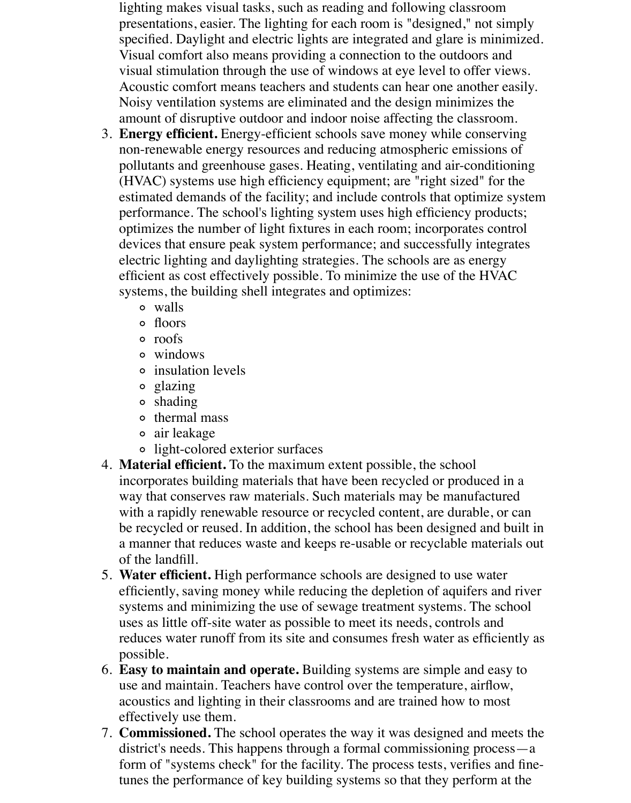lighting makes visual tasks, such as reading and following classroom presentations, easier. The lighting for each room is "designed," not simply specified. Daylight and electric lights are integrated and glare is minimized. Visual comfort also means providing a connection to the outdoors and visual stimulation through the use of windows at eye level to offer views. Acoustic comfort means teachers and students can hear one another easily. Noisy ventilation systems are eliminated and the design minimizes the amount of disruptive outdoor and indoor noise affecting the classroom.

- 3. **Energy efficient.** Energy-efficient schools save money while conserving non-renewable energy resources and reducing atmospheric emissions of pollutants and greenhouse gases. Heating, ventilating and air-conditioning (HVAC) systems use high efficiency equipment; are "right sized" for the estimated demands of the facility; and include controls that optimize system performance. The school's lighting system uses high efficiency products; optimizes the number of light fixtures in each room; incorporates control devices that ensure peak system performance; and successfully integrates electric lighting and daylighting strategies. The schools are as energy efficient as cost effectively possible. To minimize the use of the HVAC systems, the building shell integrates and optimizes:
	- walls
	- floors
	- roofs
	- windows
	- insulation levels
	- glazing
	- shading
	- o thermal mass
	- air leakage
	- light-colored exterior surfaces
- 4. **Material efficient.** To the maximum extent possible, the school incorporates building materials that have been recycled or produced in a way that conserves raw materials. Such materials may be manufactured with a rapidly renewable resource or recycled content, are durable, or can be recycled or reused. In addition, the school has been designed and built in a manner that reduces waste and keeps re-usable or recyclable materials out of the landfill.
- 5. **Water efficient.** High performance schools are designed to use water efficiently, saving money while reducing the depletion of aquifers and river systems and minimizing the use of sewage treatment systems. The school uses as little off-site water as possible to meet its needs, controls and reduces water runoff from its site and consumes fresh water as efficiently as possible.
- 6. **Easy to maintain and operate.** Building systems are simple and easy to use and maintain. Teachers have control over the temperature, airflow, acoustics and lighting in their classrooms and are trained how to most effectively use them.
- 7. **Commissioned.** The school operates the way it was designed and meets the district's needs. This happens through a formal commissioning process—a form of "systems check" for the facility. The process tests, verifies and finetunes the performance of key building systems so that they perform at the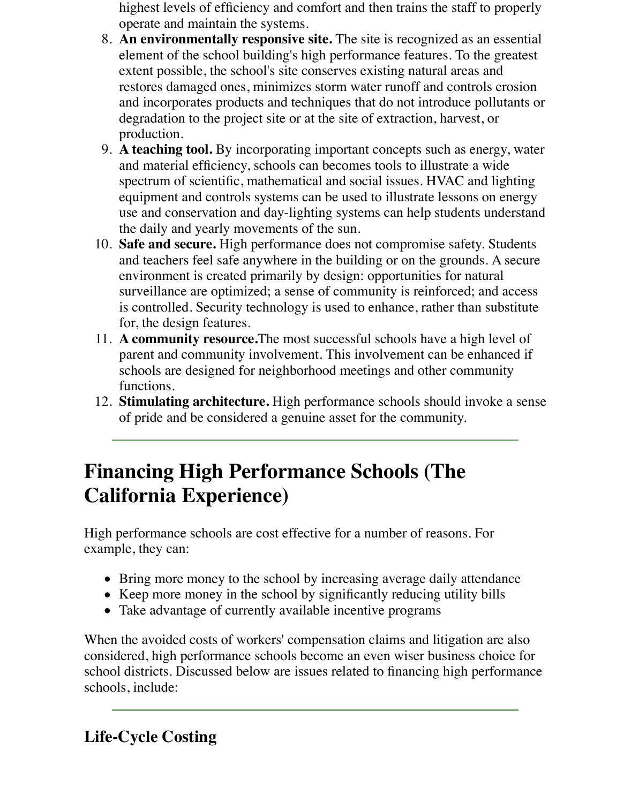highest levels of efficiency and comfort and then trains the staff to properly operate and maintain the systems.

- 8. **An environmentally responsive site.** The site is recognized as an essential element of the school building's high performance features. To the greatest extent possible, the school's site conserves existing natural areas and restores damaged ones, minimizes storm water runoff and controls erosion and incorporates products and techniques that do not introduce pollutants or degradation to the project site or at the site of extraction, harvest, or production.
- 9. **A teaching tool.** By incorporating important concepts such as energy, water and material efficiency, schools can becomes tools to illustrate a wide spectrum of scientific, mathematical and social issues. HVAC and lighting equipment and controls systems can be used to illustrate lessons on energy use and conservation and day-lighting systems can help students understand the daily and yearly movements of the sun.
- 10. **Safe and secure.** High performance does not compromise safety. Students and teachers feel safe anywhere in the building or on the grounds. A secure environment is created primarily by design: opportunities for natural surveillance are optimized; a sense of community is reinforced; and access is controlled. Security technology is used to enhance, rather than substitute for, the design features.
- 11. **A community resource.**The most successful schools have a high level of parent and community involvement. This involvement can be enhanced if schools are designed for neighborhood meetings and other community functions.
- 12. **Stimulating architecture.** High performance schools should invoke a sense of pride and be considered a genuine asset for the community.

# **Financing High Performance Schools (The California Experience)**

High performance schools are cost effective for a number of reasons. For example, they can:

- Bring more money to the school by increasing average daily attendance
- Keep more money in the school by significantly reducing utility bills
- Take advantage of currently available incentive programs

When the avoided costs of workers' compensation claims and litigation are also considered, high performance schools become an even wiser business choice for school districts. Discussed below are issues related to financing high performance schools, include:

### **Life-Cycle Costing**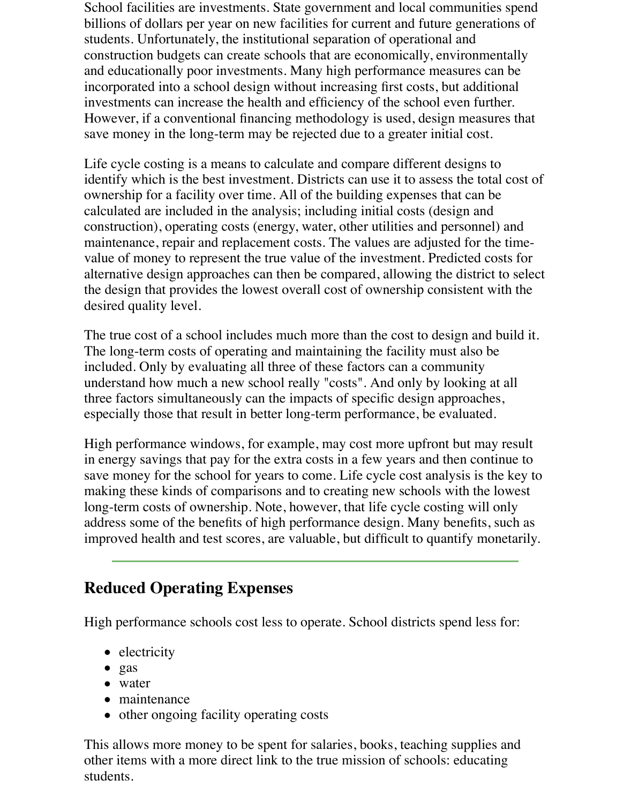School facilities are investments. State government and local communities spend billions of dollars per year on new facilities for current and future generations of students. Unfortunately, the institutional separation of operational and construction budgets can create schools that are economically, environmentally and educationally poor investments. Many high performance measures can be incorporated into a school design without increasing first costs, but additional investments can increase the health and efficiency of the school even further. However, if a conventional financing methodology is used, design measures that save money in the long-term may be rejected due to a greater initial cost.

Life cycle costing is a means to calculate and compare different designs to identify which is the best investment. Districts can use it to assess the total cost of ownership for a facility over time. All of the building expenses that can be calculated are included in the analysis; including initial costs (design and construction), operating costs (energy, water, other utilities and personnel) and maintenance, repair and replacement costs. The values are adjusted for the timevalue of money to represent the true value of the investment. Predicted costs for alternative design approaches can then be compared, allowing the district to select the design that provides the lowest overall cost of ownership consistent with the desired quality level.

The true cost of a school includes much more than the cost to design and build it. The long-term costs of operating and maintaining the facility must also be included. Only by evaluating all three of these factors can a community understand how much a new school really "costs". And only by looking at all three factors simultaneously can the impacts of specific design approaches, especially those that result in better long-term performance, be evaluated.

High performance windows, for example, may cost more upfront but may result in energy savings that pay for the extra costs in a few years and then continue to save money for the school for years to come. Life cycle cost analysis is the key to making these kinds of comparisons and to creating new schools with the lowest long-term costs of ownership. Note, however, that life cycle costing will only address some of the benefits of high performance design. Many benefits, such as improved health and test scores, are valuable, but difficult to quantify monetarily.

#### **Reduced Operating Expenses**

High performance schools cost less to operate. School districts spend less for:

- electricity
- gas
- water
- maintenance
- other ongoing facility operating costs

This allows more money to be spent for salaries, books, teaching supplies and other items with a more direct link to the true mission of schools: educating students.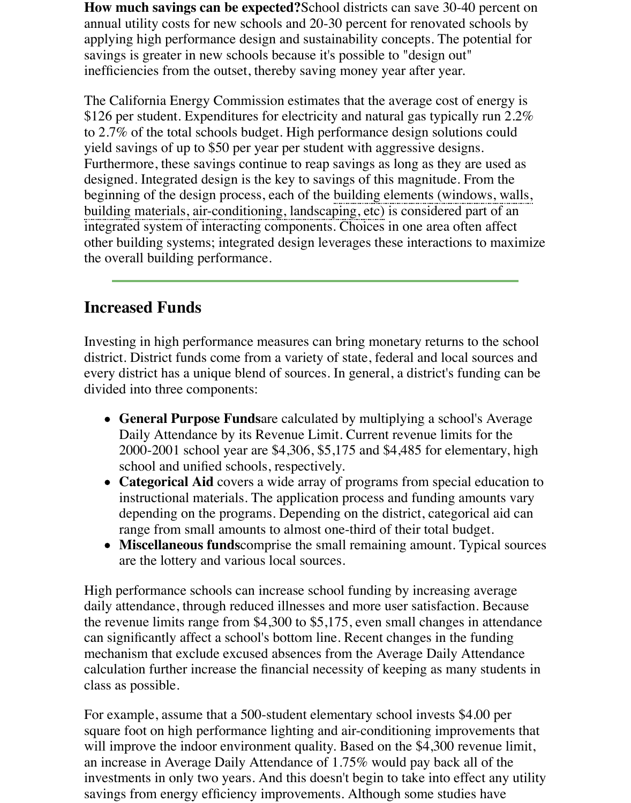**How much savings can be expected?**School districts can save 30-40 percent on annual utility costs for new schools and 20-30 percent for renovated schools by applying high performance design and sustainability concepts. The potential for savings is greater in new schools because it's possible to "design out" inefficiencies from the outset, thereby saving money year after year.

The California Energy Commission estimates that the average cost of energy is \$126 per student. Expenditures for electricity and natural gas typically run 2.2% to 2.7% of the total schools budget. High performance design solutions could yield savings of up to \$50 per year per student with aggressive designs. Furthermore, these savings continue to reap savings as long as they are used as designed. Integrated design is the key to savings of this magnitude. From the beginning of the design process, each of the building elements (windows, walls, building materials, air-conditioning, landscaping, etc) is considered part of an integrated system of interacting components. Choices in one area often affect other building systems; integrated design leverages these interactions to maximize the overall building performance.

#### **Increased Funds**

Investing in high performance measures can bring monetary returns to the school district. District funds come from a variety of state, federal and local sources and every district has a unique blend of sources. In general, a district's funding can be divided into three components:

- **General Purpose Funds**are calculated by multiplying a school's Average Daily Attendance by its Revenue Limit. Current revenue limits for the 2000-2001 school year are \$4,306, \$5,175 and \$4,485 for elementary, high school and unified schools, respectively.
- **Categorical Aid** covers a wide array of programs from special education to instructional materials. The application process and funding amounts vary depending on the programs. Depending on the district, categorical aid can range from small amounts to almost one-third of their total budget.
- **Miscellaneous funds**comprise the small remaining amount. Typical sources are the lottery and various local sources.

High performance schools can increase school funding by increasing average daily attendance, through reduced illnesses and more user satisfaction. Because the revenue limits range from \$4,300 to \$5,175, even small changes in attendance can significantly affect a school's bottom line. Recent changes in the funding mechanism that exclude excused absences from the Average Daily Attendance calculation further increase the financial necessity of keeping as many students in class as possible.

For example, assume that a 500-student elementary school invests \$4.00 per square foot on high performance lighting and air-conditioning improvements that will improve the indoor environment quality. Based on the \$4,300 revenue limit, an increase in Average Daily Attendance of 1.75% would pay back all of the investments in only two years. And this doesn't begin to take into effect any utility savings from energy efficiency improvements. Although some studies have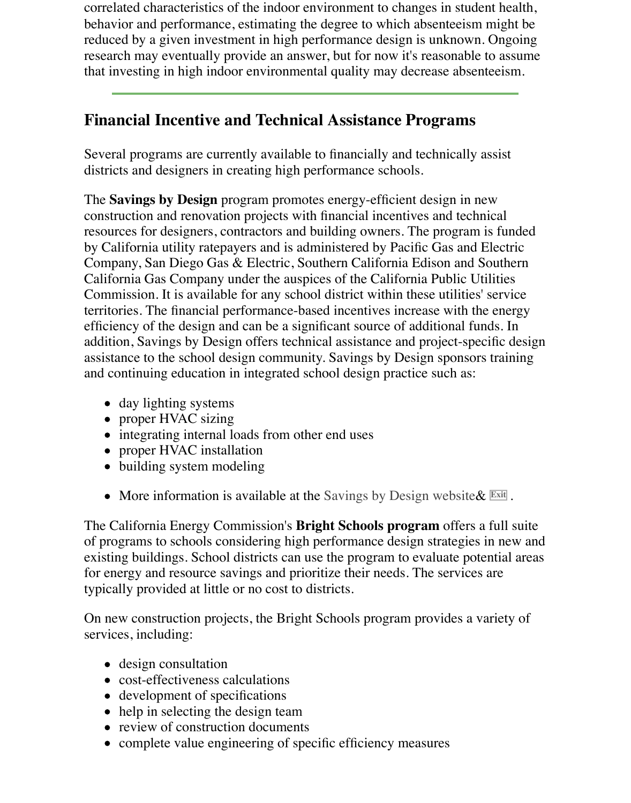#### **Financial Incentive and Technical Assistance Programs**

Several programs are currently available to financially and technically assist districts and designers in creating high performance schools.

The **Savings by Design** program promotes energy-efficient design in new construction and renovation projects with financial incentives and technical resources for designers, contractors and building owners. The program is funded by California utility ratepayers and is administered by Pacific Gas and Electric Company, San Diego Gas & Electric, Southern California Edison and Southern California Gas Company under the auspices of the California Public Utilities Commission. It is available for any school district within these utilities' service territories. The financial performance-based incentives increase with the energy efficiency of the design and can be a significant source of additional funds. In addition, Savings by Design offers technical assistance and project-specific desig assistance to the school design community. Savings by Design sponsors training and continuing education in integrated school design practice such as:

- day lighting systems
- proper HVAC sizing
- integrating internal loads from other end uses
- proper HVAC installation
- building system modeling
- More information is available at the Savings by Design website& Exited.

The California Energy Commission's **Bright Schools program** offers a full suite of programs to schools considering high performance design strategies in new an existing buildings. School districts can use the program to evaluate potential areas for energy and resource savings and prioritize their needs. The services are typically provided at little or no cost to districts.

On new construction projects, the Bright [Schools program provides a](http://www.savingsbydesign.com/) variety of services, including:

- design consultation
- cost-effectiveness calculations
- development of specifications
- help in selecting the design team
- review of construction documents
- complete value engineering of specific efficiency measures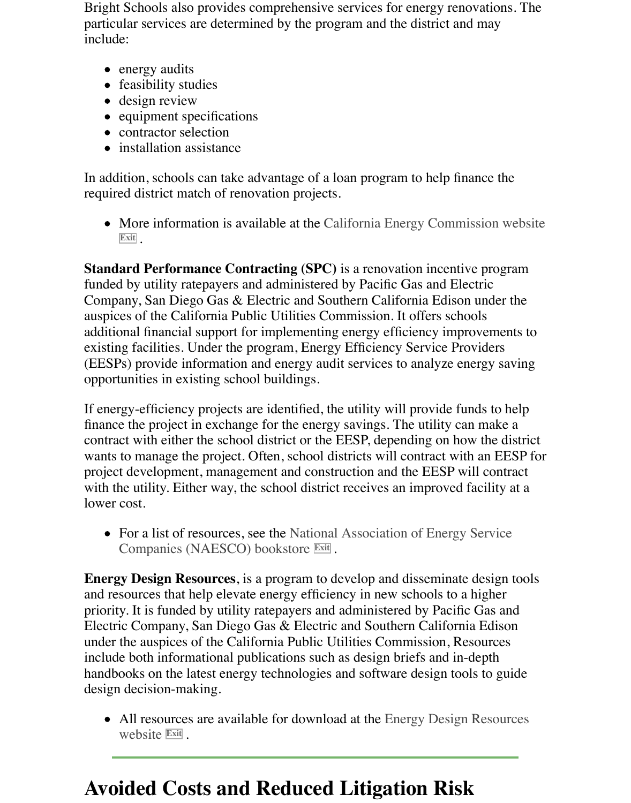- equipment specifications
- contractor selection
- installation assistance

In addition, schools can take advantage of a loan program to help finance the required district match of renovation projects.

• More information is available at the California Energy Commission website . **Exit**

**Standard Performance Contracting (SPC)** is a renovation incentive program funded by utility ratepayers and administered by Pacific Gas and Electric Company, San Diego Gas & Electric and Southern California Edison under the auspices of the California Public Utilities Commission. It offers schools additional financial support for implement[ing energy efficiency improvements to](http://www.energy.ca.gov/) existi[ng fa](https://www.epa.gov/home/exit-epa)cilities. Under the program, Energy Efficiency Service Providers (EESPs) provide information and energy audit services to analyze energy saving opportunities in existing school buildings.

If energy-efficiency projects are identified, the utility will provide funds to help finance the project in exchange for the energy savings. The utility can make a contract with either the school district or the EESP, depending on how the district wants to manage the project. Often, school districts will contract with an EESP for project development, management and construction and the EESP will contract with the utility. Either way, the school district receives an improved facility at a lower cost.

For a list of resources, see the National Association of Energy Service Companies (NAESCO) bookstore **Exit**.

**Energy Design Resources**, is a program to develop and disseminate design tools and resources that help elevate energy efficiency in new schools to a higher priority. It is funded by utility ratepayers and administered by Pacific Gas and Electric Company, San Diego Gas & Electric and Southern California Edison under [the auspices of the California Public Utilities Commission, Resources](http://www.naesco.org/) include both informational publications [such](https://www.epa.gov/home/exit-epa) as design briefs and in-depth handbooks on the latest energy technologies and software design tools to guide design decision-making.

All resources are available for download at the Energy Design Resources website  $\overline{\text{Exit}}$ .

### **Avoided Costs and Reduced Litigation Risk**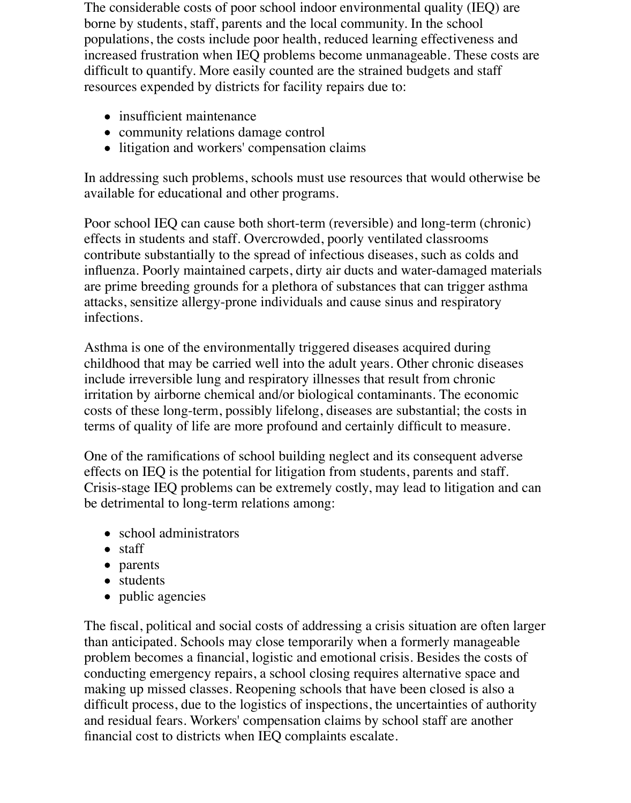The considerable costs of poor school indoor environmental quality (IEQ) are borne by students, staff, parents and the local community. In the school populations, the costs include poor health, reduced learning effectiveness and increased frustration when IEQ problems become unmanageable. These costs are difficult to quantify. More easily counted are the strained budgets and staff resources expended by districts for facility repairs due to:

- insufficient maintenance
- community relations damage control
- litigation and workers' compensation claims

In addressing such problems, schools must use resources that would otherwise be available for educational and other programs.

Poor school IEQ can cause both short-term (reversible) and long-term (chronic) effects in students and staff. Overcrowded, poorly ventilated classrooms contribute substantially to the spread of infectious diseases, such as colds and influenza. Poorly maintained carpets, dirty air ducts and water-damaged materials are prime breeding grounds for a plethora of substances that can trigger asthma attacks, sensitize allergy-prone individuals and cause sinus and respiratory infections.

Asthma is one of the environmentally triggered diseases acquired during childhood that may be carried well into the adult years. Other chronic diseases include irreversible lung and respiratory illnesses that result from chronic irritation by airborne chemical and/or biological contaminants. The economic costs of these long-term, possibly lifelong, diseases are substantial; the costs in terms of quality of life are more profound and certainly difficult to measure.

One of the ramifications of school building neglect and its consequent adverse effects on IEQ is the potential for litigation from students, parents and staff. Crisis-stage IEQ problems can be extremely costly, may lead to litigation and can be detrimental to long-term relations among:

- school administrators
- staff
- parents
- students
- public agencies

The fiscal, political and social costs of addressing a crisis situation are often larger than anticipated. Schools may close temporarily when a formerly manageable problem becomes a financial, logistic and emotional crisis. Besides the costs of conducting emergency repairs, a school closing requires alternative space and making up missed classes. Reopening schools that have been closed is also a difficult process, due to the logistics of inspections, the uncertainties of authority and residual fears. Workers' compensation claims by school staff are another financial cost to districts when IEQ complaints escalate.